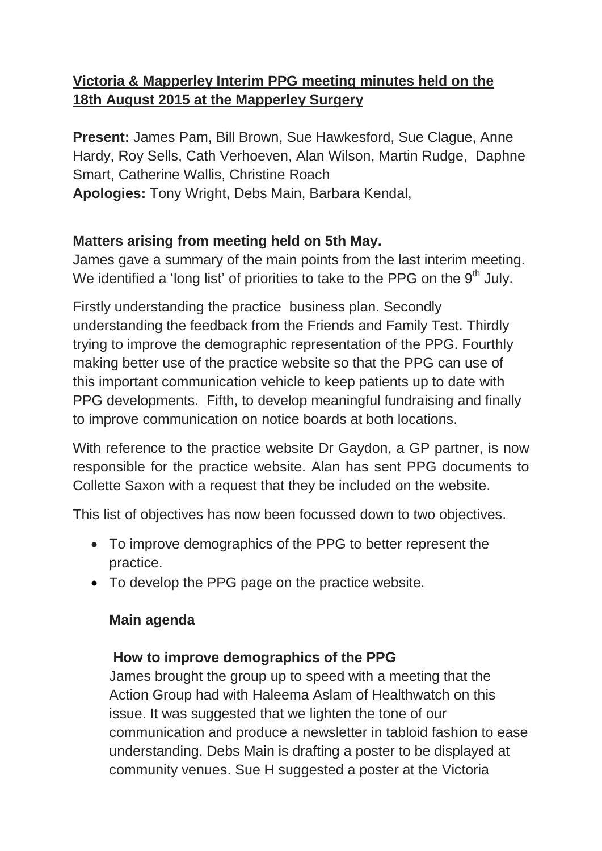## **Victoria & Mapperley Interim PPG meeting minutes held on the 18th August 2015 at the Mapperley Surgery**

**Present:** James Pam, Bill Brown, Sue Hawkesford, Sue Clague, Anne Hardy, Roy Sells, Cath Verhoeven, Alan Wilson, Martin Rudge, Daphne Smart, Catherine Wallis, Christine Roach

**Apologies:** Tony Wright, Debs Main, Barbara Kendal,

# **Matters arising from meeting held on 5th May.**

James gave a summary of the main points from the last interim meeting. We identified a 'long list' of priorities to take to the PPG on the  $9<sup>th</sup>$  July.

Firstly understanding the practice business plan. Secondly understanding the feedback from the Friends and Family Test. Thirdly trying to improve the demographic representation of the PPG. Fourthly making better use of the practice website so that the PPG can use of this important communication vehicle to keep patients up to date with PPG developments. Fifth, to develop meaningful fundraising and finally to improve communication on notice boards at both locations.

With reference to the practice website Dr Gaydon, a GP partner, is now responsible for the practice website. Alan has sent PPG documents to Collette Saxon with a request that they be included on the website.

This list of objectives has now been focussed down to two objectives.

- To improve demographics of the PPG to better represent the practice.
- To develop the PPG page on the practice website.

## **Main agenda**

## **How to improve demographics of the PPG**

James brought the group up to speed with a meeting that the Action Group had with Haleema Aslam of Healthwatch on this issue. It was suggested that we lighten the tone of our communication and produce a newsletter in tabloid fashion to ease understanding. Debs Main is drafting a poster to be displayed at community venues. Sue H suggested a poster at the Victoria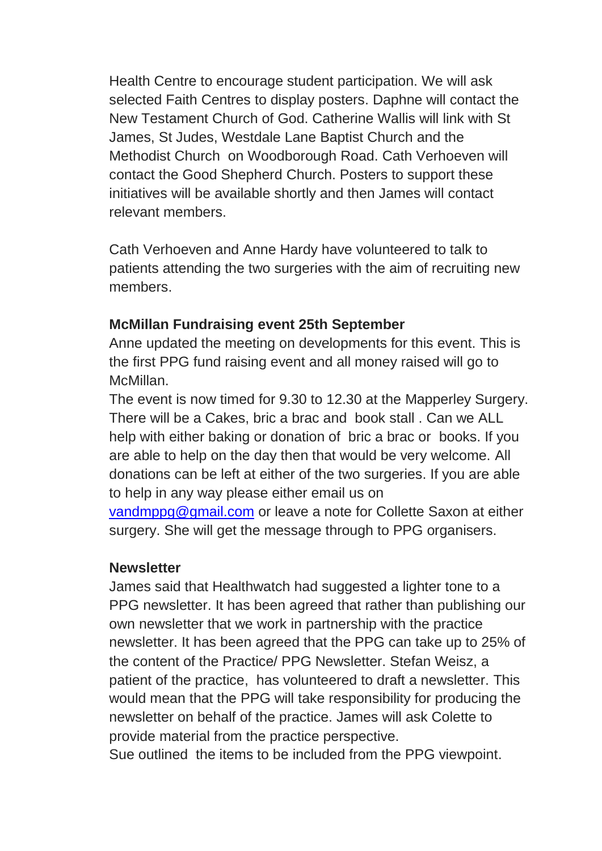Health Centre to encourage student participation. We will ask selected Faith Centres to display posters. Daphne will contact the New Testament Church of God. Catherine Wallis will link with St James, St Judes, Westdale Lane Baptist Church and the Methodist Church on Woodborough Road. Cath Verhoeven will contact the Good Shepherd Church. Posters to support these initiatives will be available shortly and then James will contact relevant members.

Cath Verhoeven and Anne Hardy have volunteered to talk to patients attending the two surgeries with the aim of recruiting new members.

#### **McMillan Fundraising event 25th September**

Anne updated the meeting on developments for this event. This is the first PPG fund raising event and all money raised will go to McMillan.

The event is now timed for 9.30 to 12.30 at the Mapperley Surgery. There will be a Cakes, bric a brac and book stall . Can we ALL help with either baking or donation of bric a brac or books. If you are able to help on the day then that would be very welcome. All donations can be left at either of the two surgeries. If you are able to help in any way please either email us on

[vandmppg@gmail.com](mailto:vandmppg@gmail.com) or leave a note for Collette Saxon at either surgery. She will get the message through to PPG organisers.

#### **Newsletter**

James said that Healthwatch had suggested a lighter tone to a PPG newsletter. It has been agreed that rather than publishing our own newsletter that we work in partnership with the practice newsletter. It has been agreed that the PPG can take up to 25% of the content of the Practice/ PPG Newsletter. Stefan Weisz, a patient of the practice, has volunteered to draft a newsletter. This would mean that the PPG will take responsibility for producing the newsletter on behalf of the practice. James will ask Colette to provide material from the practice perspective.

Sue outlined the items to be included from the PPG viewpoint.